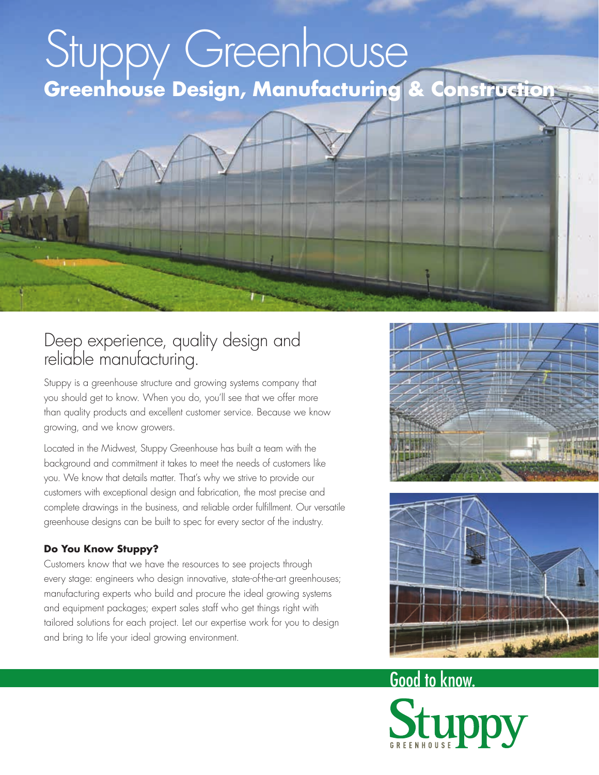# Stuppy Greenhouse **Greenhouse Design, Manufacturing & Construction**

#### Deep experience, quality design and reliable manufacturing.

Stuppy is a greenhouse structure and growing systems company that you should get to know. When you do, you'll see that we offer more than quality products and excellent customer service. Because we know growing, and we know growers.

Located in the Midwest, Stuppy Greenhouse has built a team with the background and commitment it takes to meet the needs of customers like you. We know that details matter. That's why we strive to provide our customers with exceptional design and fabrication, the most precise and complete drawings in the business, and reliable order fulfillment. Our versatile greenhouse designs can be built to spec for every sector of the industry.

#### **Do You Know Stuppy?**

Customers know that we have the resources to see projects through every stage: engineers who design innovative, state-of-the-art greenhouses; manufacturing experts who build and procure the ideal growing systems and equipment packages; expert sales staff who get things right with tailored solutions for each project. Let our expertise work for you to design and bring to life your ideal growing environment.





# Good to know.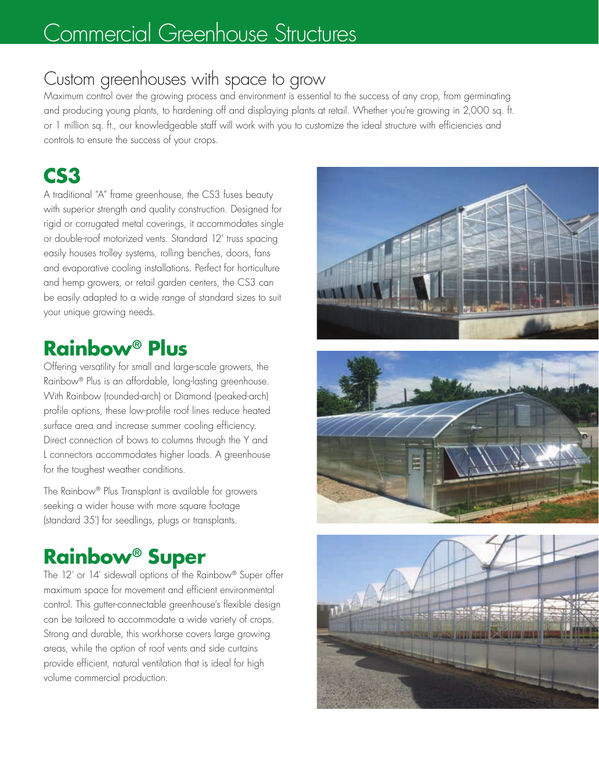#### Commercial Greenhouse Structures

#### Custom greenhouses with space to grow

Maximum control over the growing process and environment is essential to the success of any crop, from germinating and producing young plants, to hardening off and displaying plants at retail. Whether you're growing in 2,000 sq. ft. or 1 million sq. ft., our knowledgeable staff will work with you to customize the ideal structure with efficiencies and controls to ensure the success of your crops.

#### **CS3**

A traditional "A" frame greenhouse, the CS3 fuses beauty with superior strength and quality construction. Designed for rigid or corrugated metal coverings, it accommodates single or double-roof motorized vents. Standard 12' truss spacing easily houses trolley systems, rolling benches, doors, fans and evaporative cooling installations. Perfect for horticulture and hemp growers, or retail garden centers, the CS3 can be easily adapted to a wide range of standard sizes to suit your unique growing needs.

#### **Rainbow® Plus**

Offering versatility for small and large-scale growers, the Rainbow® Plus is an affordable, long-lasting greenhouse. With Rainbow (rounded-arch) or Diamond (peaked-arch) profile options, these low-profile roof lines reduce heated surface area and increase summer cooling efficiency. Direct connection of bows to columns through the Y and L connectors accommodates higher loads. A greenhouse for the toughest weather conditions.

The Rainbow® Plus Transplant is available for growers seeking a wider house with more square footage (standard 35') for seedlings, plugs or transplants.

#### **Rainbow® Super**

The 12' or 14' sidewall options of the Rainbow® Super offer maximum space for movement and efficient environmental control. This gutter-connectable greenhouse's flexible design can be tailored to accommodate a wide variety of crops. Strong and durable, this workhorse covers large growing areas, while the option of roof vents and side curtains provide efficient, natural ventilation that is ideal for high volume commercial production.





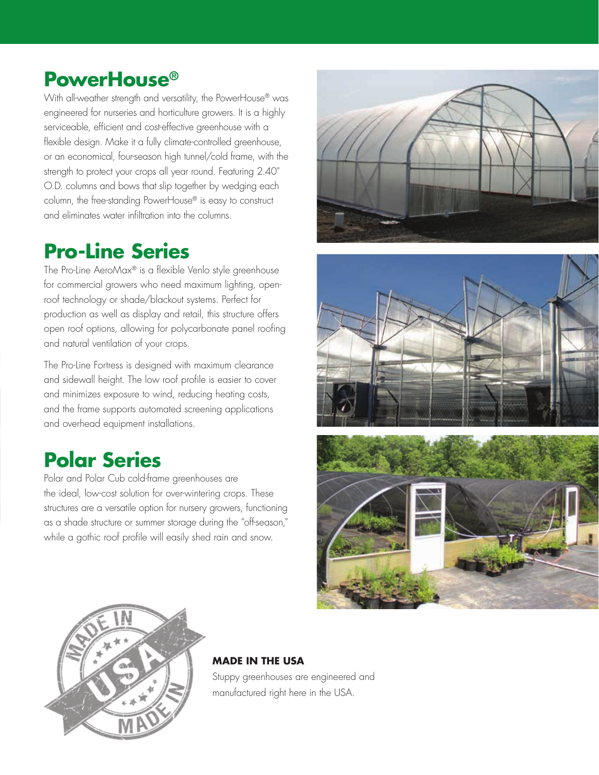#### **PowerHouse®**

With all-weather strength and versatility, the PowerHouse® was engineered for nurseries and horticulture growers. It is a highly serviceable, efficient and cost-effective greenhouse with a flexible design. Make it a fully climate-controlled greenhouse, or an economical, four-season high tunnel/cold frame, with the strength to protect your crops all year round. Featuring 2.40" O.D. columns and bows that slip together by wedging each column, the free-standing PowerHouse® is easy to construct and eliminates water infiltration into the columns.

#### **Pro-Line Series**

The Pro-Line AeroMax® is a flexible Venlo style greenhouse for commercial growers who need maximum lighting, openroof technology or shade/blackout systems. Perfect for production as well as display and retail, this structure offers open roof options, allowing for polycarbonate panel roofing and natural ventilation of your crops.

The Pro-Line Fortress is designed with maximum clearance and sidewall height. The low roof profile is easier to cover and minimizes exposure to wind, reducing heating costs, and the frame supports automated screening applications and overhead equipment installations.

#### **Polar Series**

Polar and Polar Cub cold-frame greenhouses are the ideal, low-cost solution for over-wintering crops. These structures are a versatile option for nursery growers, functioning as a shade structure or summer storage during the "off-season," while a gothic roof profile will easily shed rain and snow.









#### **MADE IN THE USA**

Stuppy greenhouses are engineered and manufactured right here in the USA.